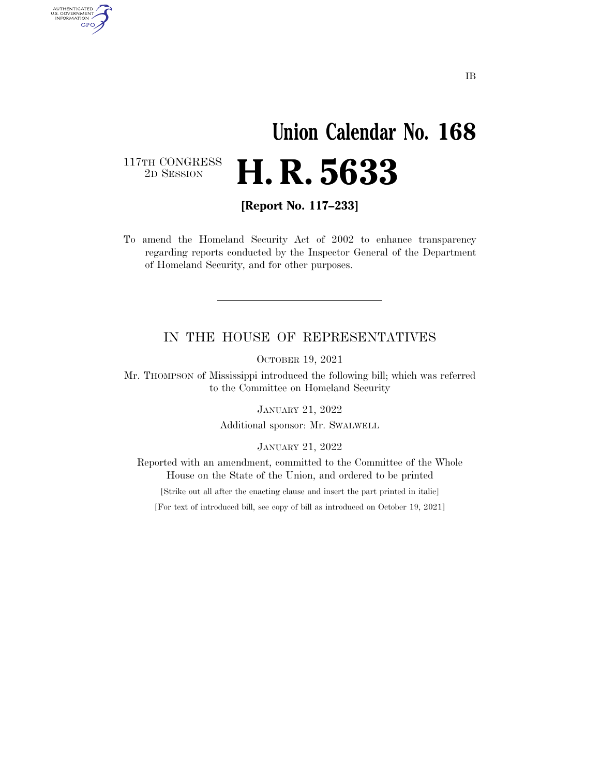## **Union Calendar No. 168**  2D SESSION **H. R. 5633**

117TH CONGRESS<br>2D SESSION

AUTHENTICATED<br>U.S. GOVERNMENT<br>INFORMATION

GPO

**[Report No. 117–233]** 

To amend the Homeland Security Act of 2002 to enhance transparency regarding reports conducted by the Inspector General of the Department of Homeland Security, and for other purposes.

## IN THE HOUSE OF REPRESENTATIVES

OCTOBER 19, 2021

Mr. THOMPSON of Mississippi introduced the following bill; which was referred to the Committee on Homeland Security

JANUARY 21, 2022

Additional sponsor: Mr. SWALWELL

JANUARY 21, 2022

Reported with an amendment, committed to the Committee of the Whole House on the State of the Union, and ordered to be printed

[Strike out all after the enacting clause and insert the part printed in italic]

[For text of introduced bill, see copy of bill as introduced on October 19, 2021]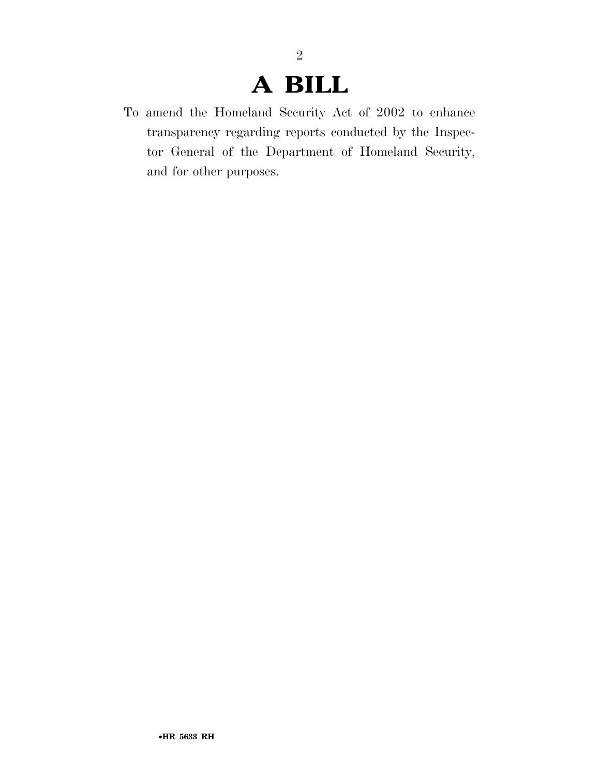## **A BILL**

To amend the Homeland Security Act of 2002 to enhance transparency regarding reports conducted by the Inspector General of the Department of Homeland Security, and for other purposes.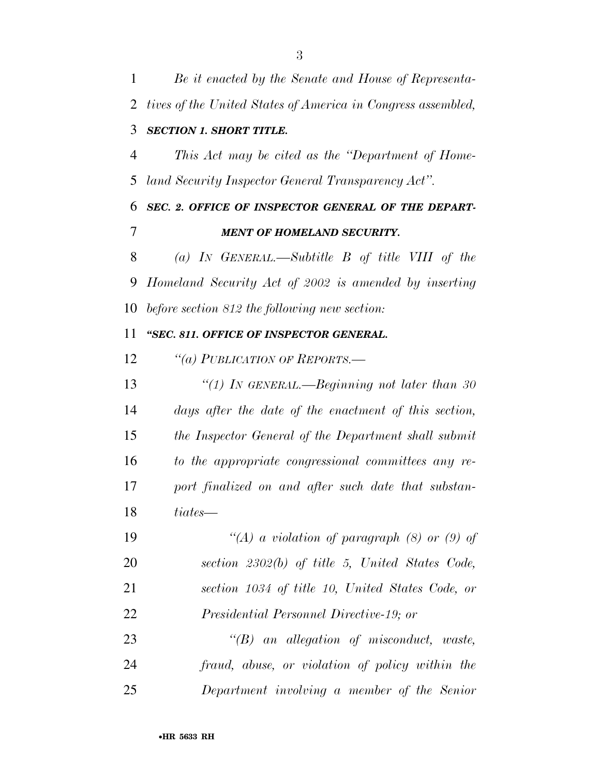*Be it enacted by the Senate and House of Representa- tives of the United States of America in Congress assembled, SECTION 1. SHORT TITLE. This Act may be cited as the ''Department of Home- land Security Inspector General Transparency Act''. SEC. 2. OFFICE OF INSPECTOR GENERAL OF THE DEPART- MENT OF HOMELAND SECURITY. (a) IN GENERAL.—Subtitle B of title VIII of the Homeland Security Act of 2002 is amended by inserting before section 812 the following new section: ''SEC. 811. OFFICE OF INSPECTOR GENERAL. ''(a) PUBLICATION OF REPORTS.— ''(1) IN GENERAL.—Beginning not later than 30 days after the date of the enactment of this section, the Inspector General of the Department shall submit to the appropriate congressional committees any re- port finalized on and after such date that substan- tiates— ''(A) a violation of paragraph (8) or (9) of section 2302(b) of title 5, United States Code, section 1034 of title 10, United States Code, or Presidential Personnel Directive-19; or ''(B) an allegation of misconduct, waste, fraud, abuse, or violation of policy within the* 

*Department involving a member of the Senior*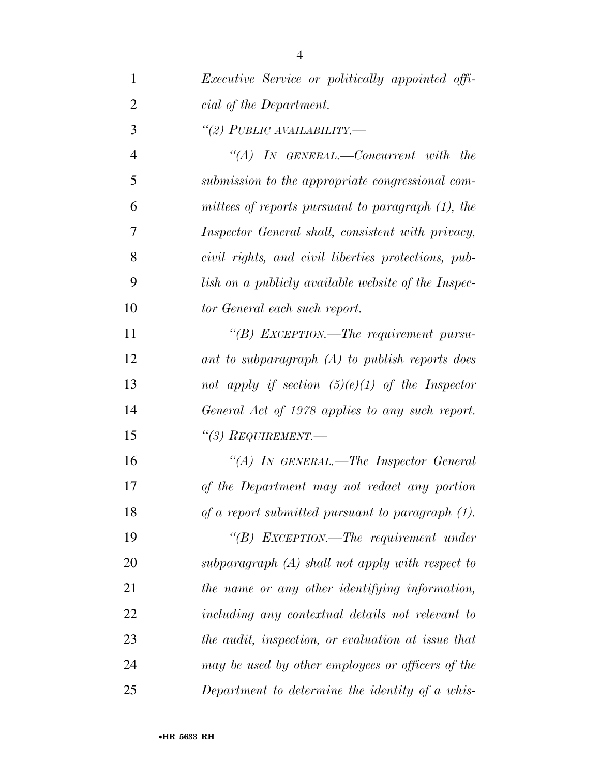| $\mathbf{1}$   | <i>Executive Service or politically appointed offi-</i> |
|----------------|---------------------------------------------------------|
| $\overline{2}$ | cial of the Department.                                 |
| 3              | "(2) PUBLIC AVAILABILITY.—                              |
| $\overline{4}$ | "(A) IN GENERAL.—Concurrent with the                    |
| 5              | submission to the appropriate congressional com-        |
| 6              | mittees of reports pursuant to paragraph (1), the       |
| 7              | Inspector General shall, consistent with privacy,       |
| 8              | civil rights, and civil liberties protections, pub-     |
| 9              | lish on a publicly available website of the Inspec-     |
| 10             | tor General each such report.                           |
| 11             | "(B) EXCEPTION.—The requirement pursu-                  |
| 12             | ant to subparagraph (A) to publish reports does         |
| 13             | not apply if section $(5)(e)(1)$ of the Inspector       |
| 14             | General Act of 1978 applies to any such report.         |
| 15             | $\lq(3)$ REQUIREMENT.—                                  |
| 16             | "(A) IN GENERAL.—The Inspector General                  |
| 17             | of the Department may not redact any portion            |
| 18             | of a report submitted pursuant to paragraph (1).        |
| 19             | "(B) EXCEPTION.—The requirement under                   |
| 20             | $subparagnph(A)$ shall not apply with respect to        |
| 21             | the name or any other identifying information,          |
| 22             | including any contextual details not relevant to        |
| 23             | the audit, inspection, or evaluation at issue that      |
| 24             | may be used by other employees or officers of the       |
| 25             | Department to determine the identity of a whis-         |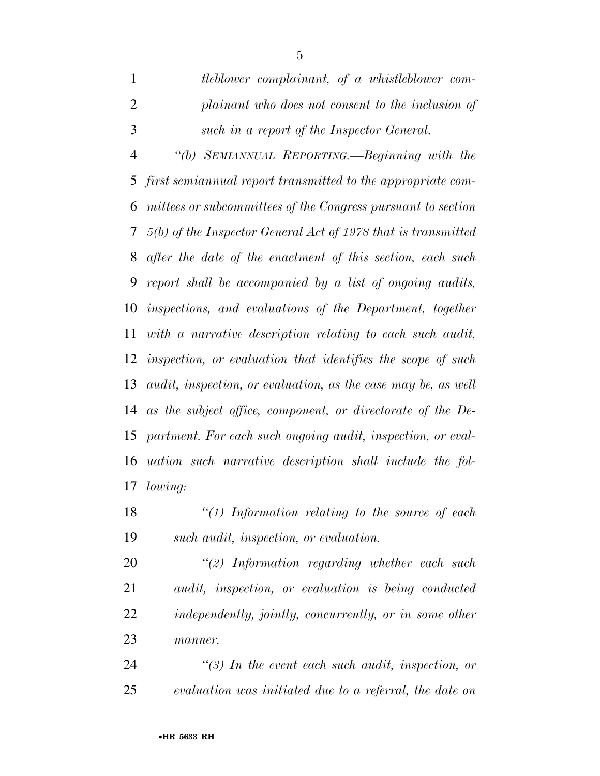*tleblower complainant, of a whistleblower com- plainant who does not consent to the inclusion of such in a report of the Inspector General. ''(b) SEMIANNUAL REPORTING.—Beginning with the first semiannual report transmitted to the appropriate com- mittees or subcommittees of the Congress pursuant to section 5(b) of the Inspector General Act of 1978 that is transmitted after the date of the enactment of this section, each such report shall be accompanied by a list of ongoing audits, inspections, and evaluations of the Department, together with a narrative description relating to each such audit, inspection, or evaluation that identifies the scope of such audit, inspection, or evaluation, as the case may be, as well as the subject office, component, or directorate of the De- partment. For each such ongoing audit, inspection, or eval- uation such narrative description shall include the fol-lowing:* 

 *''(1) Information relating to the source of each such audit, inspection, or evaluation.* 

 *''(2) Information regarding whether each such audit, inspection, or evaluation is being conducted independently, jointly, concurrently, or in some other manner.* 

 *''(3) In the event each such audit, inspection, or evaluation was initiated due to a referral, the date on*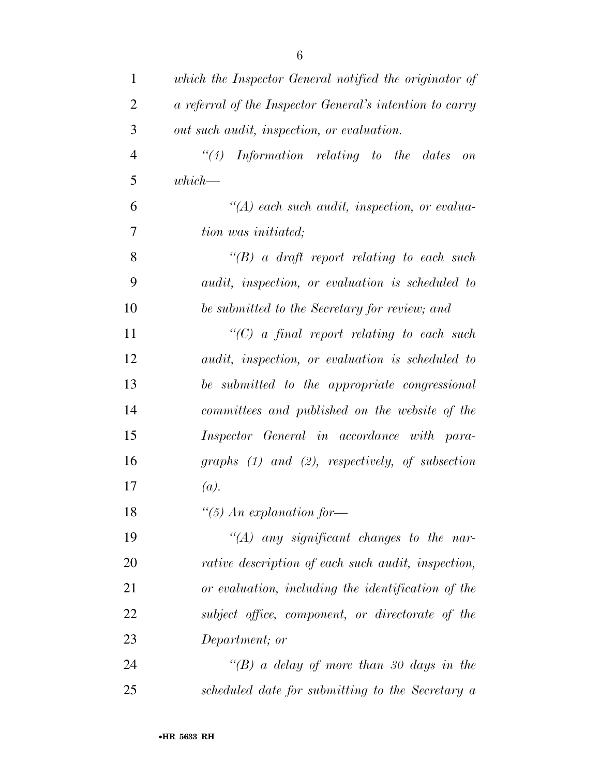| $\mathbf{1}$   | which the Inspector General notified the originator of   |
|----------------|----------------------------------------------------------|
| $\overline{2}$ | a referral of the Inspector General's intention to carry |
| 3              | out such audit, inspection, or evaluation.               |
| $\overline{4}$ | ``(4)<br>Information relating to the dates on            |
| 5              | $which -$                                                |
| 6              | $\lq (A)$ each such audit, inspection, or evalua-        |
| $\overline{7}$ | tion was initiated;                                      |
| 8              | $\lq (B)$ a draft report relating to each such           |
| 9              | audit, inspection, or evaluation is scheduled to         |
| 10             | be submitted to the Secretary for review; and            |
| 11             | $\lq\lq C$ a final report relating to each such          |
| 12             | audit, inspection, or evaluation is scheduled to         |
| 13             | be submitted to the appropriate congressional            |
| 14             | committees and published on the website of the           |
| 15             | Inspector General in accordance with para-               |
| 16             | graphs $(1)$ and $(2)$ , respectively, of subsection     |
| 17             | (a).                                                     |
| 18             | "(5) An explanation for-                                 |
| 19             | $\lq (A)$ any significant changes to the nar-            |
| 20             | rative description of each such audit, inspection,       |
| 21             | or evaluation, including the identification of the       |
| 22             | subject office, component, or directorate of the         |
| 23             | Department; or                                           |
| 24             | "(B) a delay of more than 30 days in the                 |
| 25             | scheduled date for submitting to the Secretary a         |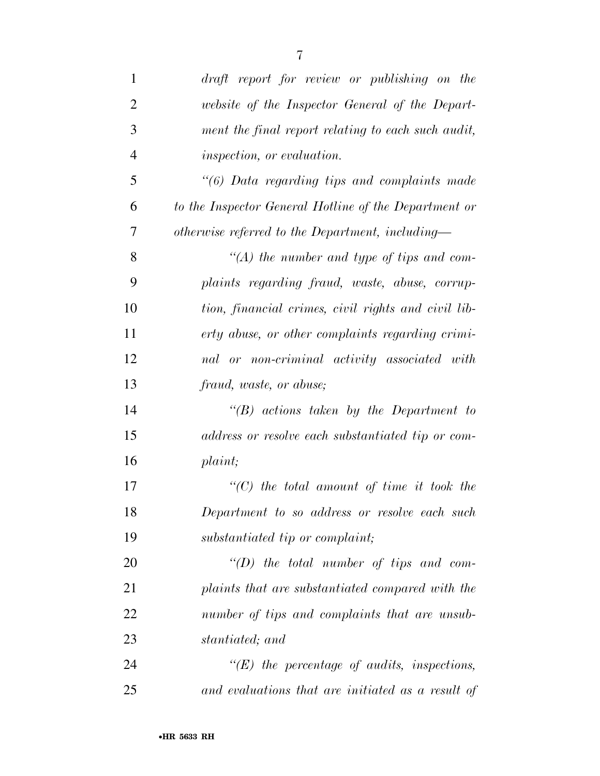| $\mathbf{1}$   | draft report for review or publishing on the          |
|----------------|-------------------------------------------------------|
| $\overline{2}$ | website of the Inspector General of the Depart-       |
| 3              | ment the final report relating to each such audit,    |
| $\overline{4}$ | inspection, or evaluation.                            |
| 5              | $\lq(6)$ Data regarding tips and complaints made      |
| 6              | to the Inspector General Hotline of the Department or |
| 7              | otherwise referred to the Department, including—      |
| 8              | $\lq (A)$ the number and type of tips and com-        |
| 9              | plaints regarding fraud, waste, abuse, corrup-        |
| 10             | tion, financial crimes, civil rights and civil lib-   |
| 11             | erty abuse, or other complaints regarding crimi-      |
| 12             | nal or non-criminal activity associated with          |
| 13             | fraud, waste, or abuse;                               |
| 14             | $\lq\lq(B)$ actions taken by the Department to        |
| 15             | address or resolve each substantiated tip or com-     |
| 16             | plaint;                                               |
| 17             | $\lq\lq C$ the total amount of time it took the       |
| 18             | Department to so address or resolve each such         |
| 19             | substantiated tip or complaint;                       |
| 20             | "(D) the total number of tips and com-                |
| 21             | plaints that are substantiated compared with the      |
| 22             | number of tips and complaints that are unsub-         |
| 23             | stantiated; and                                       |
| 24             | $\lq\lq(E)$ the percentage of audits, inspections,    |
| 25             | and evaluations that are initiated as a result of     |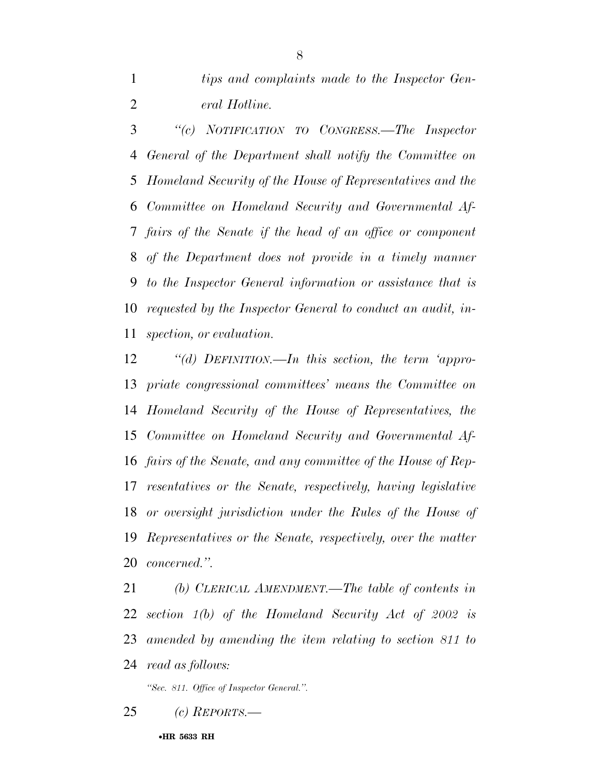*''(c) NOTIFICATION TO CONGRESS.—The Inspector General of the Department shall notify the Committee on Homeland Security of the House of Representatives and the Committee on Homeland Security and Governmental Af- fairs of the Senate if the head of an office or component of the Department does not provide in a timely manner to the Inspector General information or assistance that is requested by the Inspector General to conduct an audit, in-spection, or evaluation.* 

 *''(d) DEFINITION.—In this section, the term 'appro- priate congressional committees' means the Committee on Homeland Security of the House of Representatives, the Committee on Homeland Security and Governmental Af- fairs of the Senate, and any committee of the House of Rep- resentatives or the Senate, respectively, having legislative or oversight jurisdiction under the Rules of the House of Representatives or the Senate, respectively, over the matter concerned.''.* 

 *(b) CLERICAL AMENDMENT.—The table of contents in section 1(b) of the Homeland Security Act of 2002 is amended by amending the item relating to section 811 to read as follows:* 

*''Sec. 811. Office of Inspector General.''.* 

*(c) REPORTS.—* 

•**HR 5633 RH**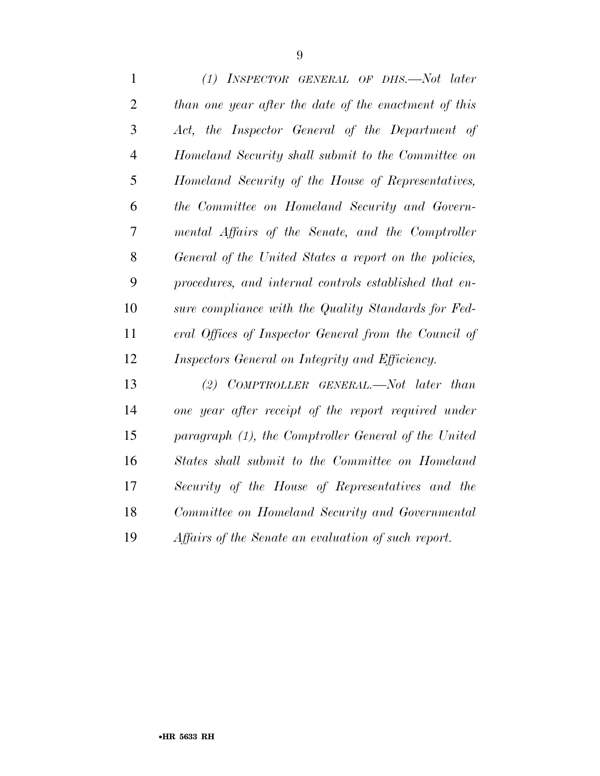*(1) INSPECTOR GENERAL OF DHS.—Not later than one year after the date of the enactment of this Act, the Inspector General of the Department of Homeland Security shall submit to the Committee on Homeland Security of the House of Representatives, the Committee on Homeland Security and Govern- mental Affairs of the Senate, and the Comptroller General of the United States a report on the policies, procedures, and internal controls established that en- sure compliance with the Quality Standards for Fed- eral Offices of Inspector General from the Council of Inspectors General on Integrity and Efficiency.* 

 *(2) COMPTROLLER GENERAL.—Not later than one year after receipt of the report required under paragraph (1), the Comptroller General of the United States shall submit to the Committee on Homeland Security of the House of Representatives and the Committee on Homeland Security and Governmental Affairs of the Senate an evaluation of such report.*